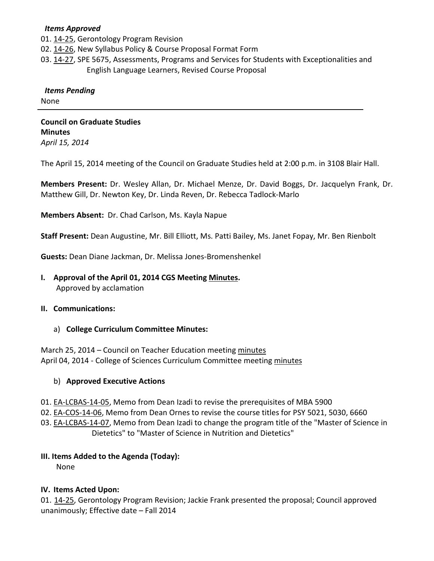#### *Items Approved*

01. [14-25,](http://castle.eiu.edu/~eiucgs/currentagendaitems/agenda14-25.pdf) Gerontology Program Revision

02. [14-26,](http://castle.eiu.edu/~eiucgs/currentagendaitems/agenda14-26.pdf) New Syllabus Policy & Course Proposal Format Form

03. [14-27,](http://castle.eiu.edu/~eiucgs/currentagendaitems/agenda14-27.pdf) SPE 5675, Assessments, Programs and Services for Students with Exceptionalities and English Language Learners, Revised Course Proposal

#### *Items Pending*

None

**Council on Graduate Studies Minutes** *April 15, 2014*

The April 15, 2014 meeting of the Council on Graduate Studies held at 2:00 p.m. in 3108 Blair Hall.

**Members Present:** Dr. Wesley Allan, Dr. Michael Menze, Dr. David Boggs, Dr. Jacquelyn Frank, Dr. Matthew Gill, Dr. Newton Key, Dr. Linda Reven, Dr. Rebecca Tadlock-Marlo

**Members Absent:** Dr. Chad Carlson, Ms. Kayla Napue

**Staff Present:** Dean Augustine, Mr. Bill Elliott, Ms. Patti Bailey, Ms. Janet Fopay, Mr. Ben Rienbolt

**Guests:** Dean Diane Jackman, Dr. Melissa Jones-Bromenshenkel

**I. Approval of the April 01, 2014 CGS Meetin[g Minutes.](http://castle.eiu.edu/eiucgs/currentminutes/Minutes04-01-14.pdf)** Approved by acclamation

#### **II. Communications:**

a) **College Curriculum Committee Minutes:**

March 25, 2014 – Council on Teacher Education meetin[g minutes](http://castle.eiu.edu/~eiucgs/currentagendaitems/COTEMin03-25-14.pdf) April 04, 2014 - College of Sciences Curriculum Committee meetin[g minutes](http://castle.eiu.edu/~eiucgs/currentagendaitems/COSMin04-04-14.pdf)

#### b) **Approved Executive Actions**

- 01. [EA-LCBAS-14-05,](http://castle.eiu.edu/~eiucgs/exec-actions/EA-LCBAS-14-05.pdf) Memo from Dean Izadi to revise the prerequisites of MBA 5900
- 02. [EA-COS-14-06,](http://castle.eiu.edu/~eiucgs/exec-actions/EA-COS-14-06.pdf) Memo from Dean Ornes to revise the course titles for PSY 5021, 5030, 6660

03. [EA-LCBAS-14-07,](http://castle.eiu.edu/~eiucgs/exec-actions/EA-LCBAS-14-07.pdf) Memo from Dean Izadi to change the program title of the "Master of Science in Dietetics" to "Master of Science in Nutrition and Dietetics"

# **III. Items Added to the Agenda (Today):**

None

# **IV. Items Acted Upon:**

01. [14-25,](http://castle.eiu.edu/~eiucgs/currentagendaitems/agenda14-25.pdf) Gerontology Program Revision; Jackie Frank presented the proposal; Council approved unanimously; Effective date – Fall 2014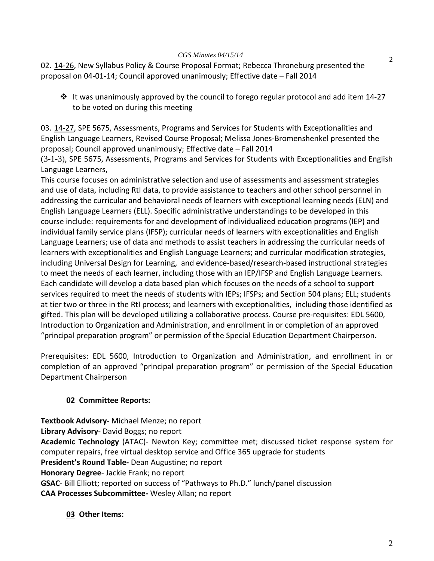02. [14-26,](http://castle.eiu.edu/~eiucgs/currentagendaitems/agenda14-26.pdf) New Syllabus Policy & Course Proposal Format; Rebecca Throneburg presented the proposal on 04-01-14; Council approved unanimously; Effective date – Fall 2014

 $\cdot \cdot$  It was unanimously approved by the council to forego regular protocol and add item 14-27 to be voted on during this meeting

03. [14-27,](http://castle.eiu.edu/~eiucgs/currentagendaitems/agenda14-27.pdf) SPE 5675, Assessments, Programs and Services for Students with Exceptionalities and English Language Learners, Revised Course Proposal; Melissa Jones-Bromenshenkel presented the proposal; Council approved unanimously; Effective date – Fall 2014

(3-1-3), SPE 5675, Assessments, Programs and Services for Students with Exceptionalities and English Language Learners,

This course focuses on administrative selection and use of assessments and assessment strategies and use of data, including RtI data, to provide assistance to teachers and other school personnel in addressing the curricular and behavioral needs of learners with exceptional learning needs (ELN) and English Language Learners (ELL). Specific administrative understandings to be developed in this course include: requirements for and development of individualized education programs (IEP) and individual family service plans (IFSP); curricular needs of learners with exceptionalities and English Language Learners; use of data and methods to assist teachers in addressing the curricular needs of learners with exceptionalities and English Language Learners; and curricular modification strategies, including Universal Design for Learning, and evidence-based/research-based instructional strategies to meet the needs of each learner, including those with an IEP/IFSP and English Language Learners. Each candidate will develop a data based plan which focuses on the needs of a school to support services required to meet the needs of students with IEPs; IFSPs; and Section 504 plans; ELL; students at tier two or three in the RtI process; and learners with exceptionalities, including those identified as gifted. This plan will be developed utilizing a collaborative process. Course pre-requisites: EDL 5600, Introduction to Organization and Administration, and enrollment in or completion of an approved "principal preparation program" or permission of the Special Education Department Chairperson.

Prerequisites: EDL 5600, Introduction to Organization and Administration, and enrollment in or completion of an approved "principal preparation program" or permission of the Special Education Department Chairperson

# **02 Committee Reports:**

**Textbook Advisory-** Michael Menze; no report **Library Advisory**- David Boggs; no report **Academic Technology** (ATAC)- Newton Key; committee met; discussed ticket response system for computer repairs, free virtual desktop service and Office 365 upgrade for students **President's Round Table-** Dean Augustine; no report **Honorary Degree**- Jackie Frank; no report **GSAC**- Bill Elliott; reported on success of "Pathways to Ph.D." lunch/panel discussion **CAA Processes Subcommittee-** Wesley Allan; no report

**03 Other Items:** 

2